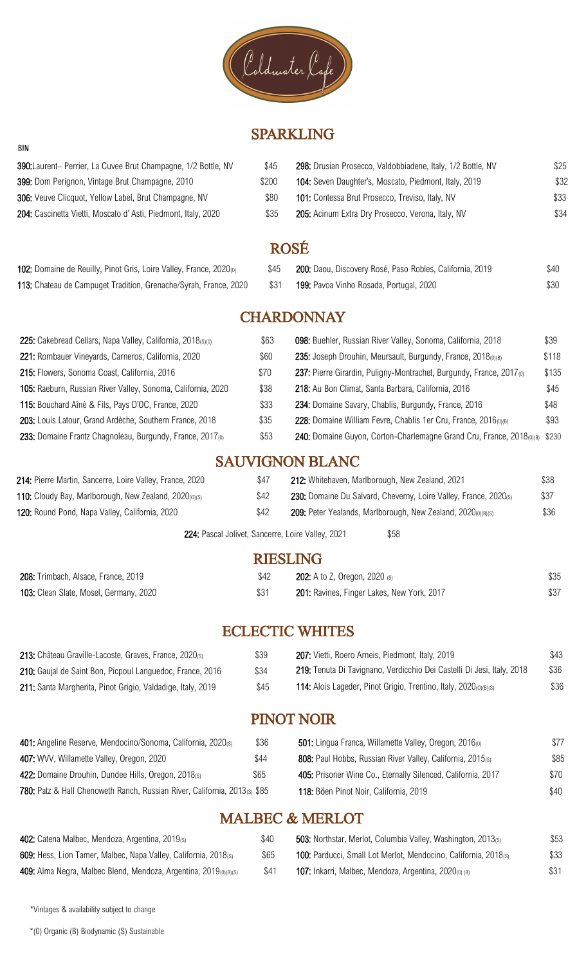

## SPARKLING

| 390: Laurent- Perrier, La Cuvee Brut Champagne, 1/2 Bottle, NV | \$45  | 298: Drusian Prosecco, Valdobbiadene, Italy, 1/2 Bottle, NV | \$25 |
|----------------------------------------------------------------|-------|-------------------------------------------------------------|------|
| 399: Dom Perignon, Vintage Brut Champagne, 2010                | \$200 | 104: Seven Daughter's, Moscato, Piedmont, Italy, 2019       | \$32 |
| 306: Veuve Clicquot, Yellow Label, Brut Champagne, NV          | \$80  | 101: Contessa Brut Prosecco, Treviso, Italy, NV             | \$33 |
| 204: Cascinetta Vietti, Moscato d'Asti, Piedmont, Italy, 2020  | \$35  | 205: Acinum Extra Dry Prosecco, Verona, Italy, NV           | \$34 |

| . . | v |
|-----|---|
| ۰,  |   |
|     |   |

| 102: Domaine de Reuilly, Pinot Gris, Loire Valley, France, 2020 <sub>(0)</sub> | \$45 | 200: Daou, Discovery Rosé, Paso Robles, California, 2019 | \$40 |
|--------------------------------------------------------------------------------|------|----------------------------------------------------------|------|
| 113: Chateau de Campuget Tradition, Grenache/Syrah, France, 2020               | 831  | 199: Pavoa Vinho Rosada, Portugal, 2020                  | \$30 |

## **CHARDONNAY**

| 225: Cakebread Cellars, Napa Valley, California, 2018(S)(0)           | \$63 | 098: Buehler, Russian River Valley, Sonoma, California, 2018               | \$39  |
|-----------------------------------------------------------------------|------|----------------------------------------------------------------------------|-------|
| 221: Rombauer Vineyards, Carneros, California, 2020                   | \$60 | 235: Joseph Drouhin, Meursault, Burgundy, France, 2018(0)(B)               | \$118 |
| 215: Flowers, Sonoma Coast, California, 2016                          | \$70 | 237: Pierre Girardin, Puligny-Montrachet, Burgundy, France, 2017(0)        | \$135 |
| 105: Raeburn, Russian River Valley, Sonoma, California, 2020          | \$38 | 218: Au Bon Climat, Santa Barbara, California, 2016                        | \$45  |
| 115: Bouchard Aînè & Fils, Pays D'OC, France, 2020                    | \$33 | 234: Domaine Savary, Chablis, Burgundy, France, 2016                       | \$48  |
| 203: Louis Latour, Grand Ardèche, Southern France, 2018               | \$35 | 228: Domaine William Fevre, Chablis 1er Cru, France, 2016(0)(B)            | \$93  |
| 233: Domaine Frantz Chagnoleau, Burgundy, France, 2017 <sub>(0)</sub> | \$53 | 240: Domaine Guyon, Corton-Charlemagne Grand Cru, France, 2018(0)(B) \$230 |       |

## SAUVIGNON BLANC

| 214: Pierre Martin, Sancerre, Loire Valley, France, 2020 |      | 212: Whitehaven, Marlborough, New Zealand, 2021                                 | \$38 |
|----------------------------------------------------------|------|---------------------------------------------------------------------------------|------|
| 110: Cloudy Bay, Marlborough, New Zealand, 2020(0)(s)    | \$42 | 230: Domaine Du Salvard, Cheverny, Loire Valley, France, 2020(s)                | \$37 |
| 120: Round Pond, Napa Valley, California, 2020           |      | <b>209:</b> Peter Yealands, Marlborough, New Zealand, 2020 <sub>(0)(B)(S)</sub> | \$36 |

224: Pascal Jolivet, Sancerre, Loire Valley, 2021 \$58

#### RIESLING

| 208: Trimbach, Alsace, France, 2019    | <b>202:</b> A to Z, Oregon, 2020 (s)       | \$35 |
|----------------------------------------|--------------------------------------------|------|
| 103: Clean Slate, Mosel, Germany, 2020 | 201: Ravines, Finger Lakes, New York, 2017 | \$37 |

# ECLECTIC WHITES

| 213: Château Graville-Lacoste, Graves, France, 2020(s)      | \$39 | 207: Vietti, Roero Arneis, Piedmont, Italy, 2019                       | \$43 |
|-------------------------------------------------------------|------|------------------------------------------------------------------------|------|
| 210: Gaujal de Saint Bon, Picpoul Languedoc, France, 2016   | \$34 | 219: Tenuta Di Tavignano, Verdicchio Dei Castelli Di Jesi, Italy, 2018 | \$36 |
| 211: Santa Margherita, Pinot Grigio, Valdadige, Italy, 2019 | \$45 | 114: Alois Lageder, Pinot Grigio, Trentino, Italy, 2020(0)(B)(S)       | \$36 |

## PINOT NOIR

| 401: Angeline Reserve, Mendocino/Sonoma, California, 2020(s)              | \$36 | 501: Lingua Franca, Willamette Valley, Oregon, 2016 <sub>(0)</sub> | \$77 |
|---------------------------------------------------------------------------|------|--------------------------------------------------------------------|------|
| 407: WVV, Willamette Valley, Oregon, 2020                                 | \$44 | 808: Paul Hobbs, Russian River Valley, California, 2015(s)         | \$85 |
| 422: Domaine Drouhin, Dundee Hills, Oregon, 2018(s)                       | \$65 | 405: Prisoner Wine Co., Eternally Silenced, California, 2017       | \$70 |
| 780: Patz & Hall Chenoweth Ranch, Russian River, California, 2013(s) \$85 |      | 118: Böen Pinot Noir, California, 2019                             | \$40 |

## MALBEC & MERLOT

| 402: Catena Malbec, Mendoza, Argentina, 2019(s)                  | \$40 | 503: Northstar, Merlot, Columbia Valley, Washington, 2013(s)           | \$53 |
|------------------------------------------------------------------|------|------------------------------------------------------------------------|------|
| 609: Hess, Lion Tamer, Malbec, Napa Valley, California, 2018(s)  | \$65 | <b>100:</b> Parducci, Small Lot Merlot, Mendocino, California, 2018(s) | \$33 |
| 409: Alma Negra, Malbec Blend, Mendoza, Argentina, 2019(0)(B)(S) | \$41 | 107: Inkarri, Malbec, Mendoza, Argentina, 2020(0) (B)                  | \$31 |

\*Vintages & availability subject to change

BIN